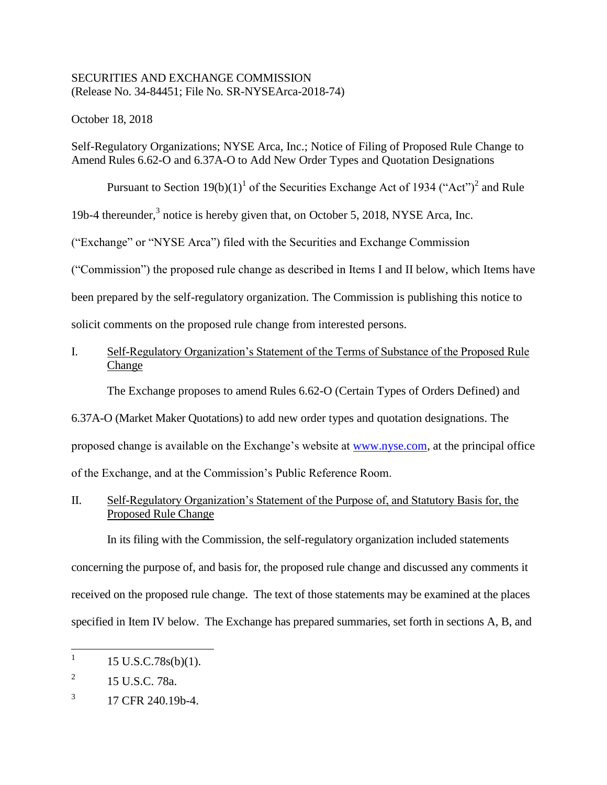## SECURITIES AND EXCHANGE COMMISSION (Release No. 34-84451; File No. SR-NYSEArca-2018-74)

October 18, 2018

Self-Regulatory Organizations; NYSE Arca, Inc.; Notice of Filing of Proposed Rule Change to Amend Rules 6.62-O and 6.37A-O to Add New Order Types and Quotation Designations

Pursuant to Section  $19(b)(1)^1$  of the Securities Exchange Act of 1934 ("Act")<sup>2</sup> and Rule

19b-4 thereunder,<sup>3</sup> notice is hereby given that, on October 5, 2018, NYSE Arca, Inc.

("Exchange" or "NYSE Arca") filed with the Securities and Exchange Commission

("Commission") the proposed rule change as described in Items I and II below, which Items have

been prepared by the self-regulatory organization. The Commission is publishing this notice to

solicit comments on the proposed rule change from interested persons.

# I. Self-Regulatory Organization's Statement of the Terms of Substance of the Proposed Rule Change

The Exchange proposes to amend Rules 6.62-O (Certain Types of Orders Defined) and

6.37A-O (Market Maker Quotations) to add new order types and quotation designations. The proposed change is available on the Exchange's website at www.nyse.com, at the principal office of the Exchange, and at the Commission's Public Reference Room.

II. Self-Regulatory Organization's Statement of the Purpose of, and Statutory Basis for, the Proposed Rule Change

In its filing with the Commission, the self-regulatory organization included statements concerning the purpose of, and basis for, the proposed rule change and discussed any comments it received on the proposed rule change. The text of those statements may be examined at the places specified in Item IV below. The Exchange has prepared summaries, set forth in sections A, B, and

 $\frac{1}{1}$ 15 U.S.C.78s(b)(1).

<sup>2</sup> 15 U.S.C. 78a.

<sup>3</sup> 17 CFR 240.19b-4.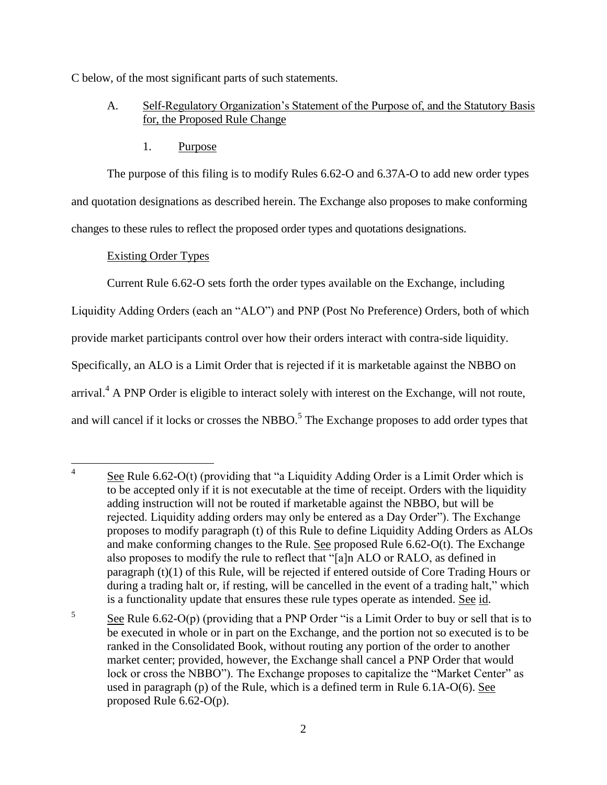C below, of the most significant parts of such statements.

# A. Self-Regulatory Organization's Statement of the Purpose of, and the Statutory Basis for, the Proposed Rule Change

1. Purpose

The purpose of this filing is to modify Rules 6.62-O and 6.37A-O to add new order types and quotation designations as described herein. The Exchange also proposes to make conforming changes to these rules to reflect the proposed order types and quotations designations.

# Existing Order Types

Current Rule 6.62-O sets forth the order types available on the Exchange, including

Liquidity Adding Orders (each an "ALO") and PNP (Post No Preference) Orders, both of which

provide market participants control over how their orders interact with contra-side liquidity.

Specifically, an ALO is a Limit Order that is rejected if it is marketable against the NBBO on

arrival.<sup>4</sup> A PNP Order is eligible to interact solely with interest on the Exchange, will not route,

and will cancel if it locks or crosses the NBBO.<sup>5</sup> The Exchange proposes to add order types that

5 See Rule 6.62-O(p) (providing that a PNP Order "is a Limit Order to buy or sell that is to be executed in whole or in part on the Exchange, and the portion not so executed is to be ranked in the Consolidated Book, without routing any portion of the order to another market center; provided, however, the Exchange shall cancel a PNP Order that would lock or cross the NBBO"). The Exchange proposes to capitalize the "Market Center" as used in paragraph (p) of the Rule, which is a defined term in Rule 6.1A-O(6). See proposed Rule 6.62-O(p).

 $\frac{1}{4}$ See Rule 6.62-O(t) (providing that "a Liquidity Adding Order is a Limit Order which is to be accepted only if it is not executable at the time of receipt. Orders with the liquidity adding instruction will not be routed if marketable against the NBBO, but will be rejected. Liquidity adding orders may only be entered as a Day Order"). The Exchange proposes to modify paragraph (t) of this Rule to define Liquidity Adding Orders as ALOs and make conforming changes to the Rule. See proposed Rule 6.62-O(t). The Exchange also proposes to modify the rule to reflect that "[a]n ALO or RALO, as defined in paragraph (t)(1) of this Rule, will be rejected if entered outside of Core Trading Hours or during a trading halt or, if resting, will be cancelled in the event of a trading halt," which is a functionality update that ensures these rule types operate as intended. See id.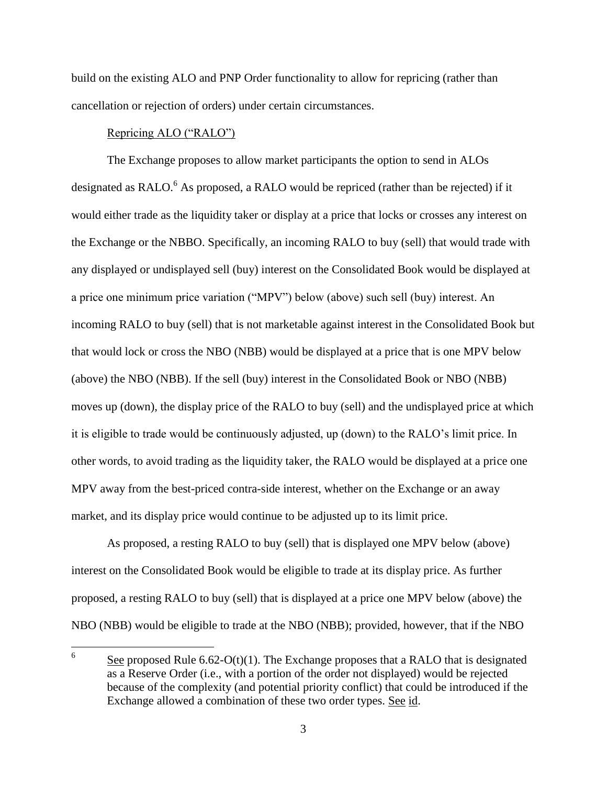build on the existing ALO and PNP Order functionality to allow for repricing (rather than cancellation or rejection of orders) under certain circumstances.

### Repricing ALO ("RALO")

The Exchange proposes to allow market participants the option to send in ALOs designated as RALO.<sup>6</sup> As proposed, a RALO would be repriced (rather than be rejected) if it would either trade as the liquidity taker or display at a price that locks or crosses any interest on the Exchange or the NBBO. Specifically, an incoming RALO to buy (sell) that would trade with any displayed or undisplayed sell (buy) interest on the Consolidated Book would be displayed at a price one minimum price variation ("MPV") below (above) such sell (buy) interest. An incoming RALO to buy (sell) that is not marketable against interest in the Consolidated Book but that would lock or cross the NBO (NBB) would be displayed at a price that is one MPV below (above) the NBO (NBB). If the sell (buy) interest in the Consolidated Book or NBO (NBB) moves up (down), the display price of the RALO to buy (sell) and the undisplayed price at which it is eligible to trade would be continuously adjusted, up (down) to the RALO's limit price. In other words, to avoid trading as the liquidity taker, the RALO would be displayed at a price one MPV away from the best-priced contra-side interest, whether on the Exchange or an away market, and its display price would continue to be adjusted up to its limit price.

As proposed, a resting RALO to buy (sell) that is displayed one MPV below (above) interest on the Consolidated Book would be eligible to trade at its display price. As further proposed, a resting RALO to buy (sell) that is displayed at a price one MPV below (above) the NBO (NBB) would be eligible to trade at the NBO (NBB); provided, however, that if the NBO

 6 See proposed Rule 6.62-O(t)(1). The Exchange proposes that a RALO that is designated as a Reserve Order (i.e., with a portion of the order not displayed) would be rejected because of the complexity (and potential priority conflict) that could be introduced if the Exchange allowed a combination of these two order types. See id.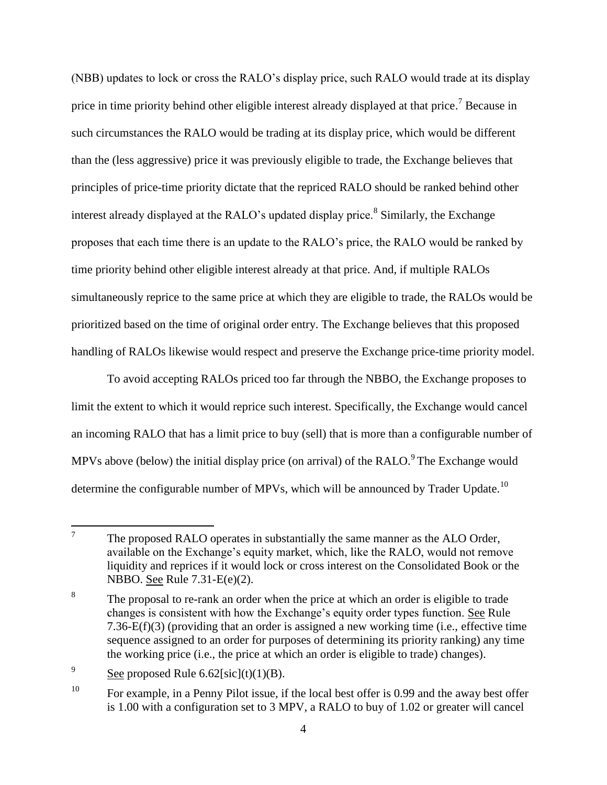(NBB) updates to lock or cross the RALO's display price, such RALO would trade at its display price in time priority behind other eligible interest already displayed at that price.<sup>7</sup> Because in such circumstances the RALO would be trading at its display price, which would be different than the (less aggressive) price it was previously eligible to trade, the Exchange believes that principles of price-time priority dictate that the repriced RALO should be ranked behind other interest already displayed at the RALO's updated display price.<sup>8</sup> Similarly, the Exchange proposes that each time there is an update to the RALO's price, the RALO would be ranked by time priority behind other eligible interest already at that price. And, if multiple RALOs simultaneously reprice to the same price at which they are eligible to trade, the RALOs would be prioritized based on the time of original order entry. The Exchange believes that this proposed handling of RALOs likewise would respect and preserve the Exchange price-time priority model.

To avoid accepting RALOs priced too far through the NBBO, the Exchange proposes to limit the extent to which it would reprice such interest. Specifically, the Exchange would cancel an incoming RALO that has a limit price to buy (sell) that is more than a configurable number of MPVs above (below) the initial display price (on arrival) of the RALO.<sup>9</sup> The Exchange would determine the configurable number of MPVs, which will be announced by Trader Update.<sup>10</sup>

<sup>—&</sup>lt;br>7 The proposed RALO operates in substantially the same manner as the ALO Order, available on the Exchange's equity market, which, like the RALO, would not remove liquidity and reprices if it would lock or cross interest on the Consolidated Book or the NBBO. See Rule 7.31-E(e)(2).

<sup>8</sup> The proposal to re-rank an order when the price at which an order is eligible to trade changes is consistent with how the Exchange's equity order types function. See Rule 7.36-E(f)(3) (providing that an order is assigned a new working time (i.e., effective time sequence assigned to an order for purposes of determining its priority ranking) any time the working price (i.e., the price at which an order is eligible to trade) changes).

<sup>9</sup> See proposed Rule  $6.62$ [sic](t)(1)(B).

<sup>&</sup>lt;sup>10</sup> For example, in a Penny Pilot issue, if the local best offer is 0.99 and the away best offer is 1.00 with a configuration set to 3 MPV, a RALO to buy of 1.02 or greater will cancel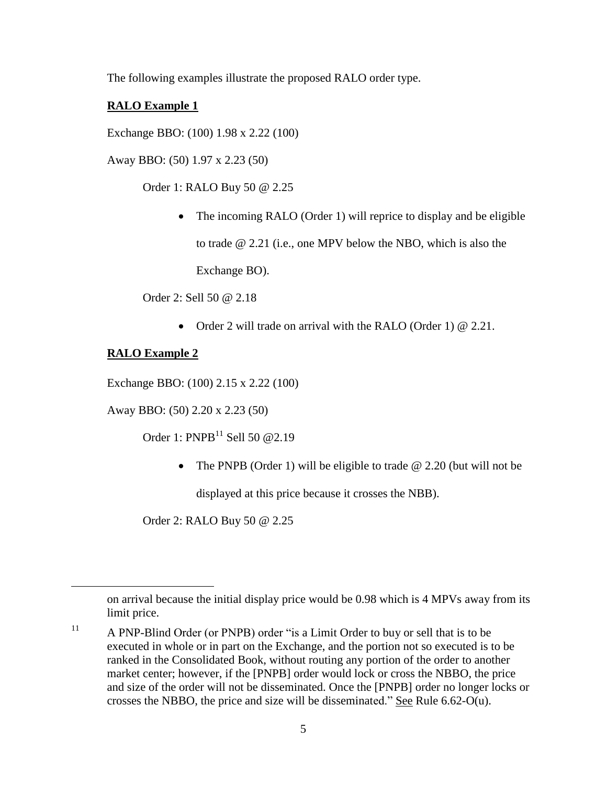The following examples illustrate the proposed RALO order type.

# **RALO Example 1**

Exchange BBO: (100) 1.98 x 2.22 (100)

Away BBO: (50) 1.97 x 2.23 (50)

Order 1: RALO Buy 50 @ 2.25

• The incoming RALO (Order 1) will reprice to display and be eligible to trade @ 2.21 (i.e., one MPV below the NBO, which is also the Exchange BO).

Order 2: Sell 50 @ 2.18

• Order 2 will trade on arrival with the RALO (Order 1)  $\omega$  2.21.

## **RALO Example 2**

 $\overline{a}$ 

Exchange BBO: (100) 2.15 x 2.22 (100)

Away BBO: (50) 2.20 x 2.23 (50)

Order 1:  $PNPB<sup>11</sup>$  Sell 50 @2.19

• The PNPB (Order 1) will be eligible to trade  $\omega$  2.20 (but will not be

displayed at this price because it crosses the NBB).

Order 2: RALO Buy 50 @ 2.25

on arrival because the initial display price would be 0.98 which is 4 MPVs away from its limit price.

<sup>&</sup>lt;sup>11</sup> A PNP-Blind Order (or PNPB) order "is a Limit Order to buy or sell that is to be executed in whole or in part on the Exchange, and the portion not so executed is to be ranked in the Consolidated Book, without routing any portion of the order to another market center; however, if the [PNPB] order would lock or cross the NBBO, the price and size of the order will not be disseminated. Once the [PNPB] order no longer locks or crosses the NBBO, the price and size will be disseminated." See Rule 6.62-O(u).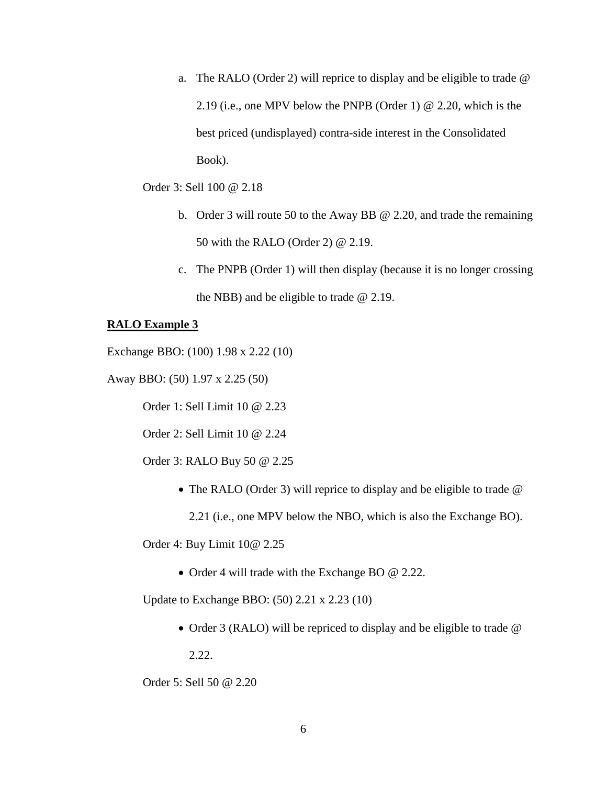a. The RALO (Order 2) will reprice to display and be eligible to trade @ 2.19 (i.e., one MPV below the PNPB (Order 1) @ 2.20, which is the best priced (undisplayed) contra-side interest in the Consolidated Book).

Order 3: Sell 100 @ 2.18

- b. Order 3 will route 50 to the Away BB @ 2.20, and trade the remaining 50 with the RALO (Order 2) @ 2.19.
- c. The PNPB (Order 1) will then display (because it is no longer crossing the NBB) and be eligible to trade @ 2.19.

### **RALO Example 3**

Exchange BBO: (100) 1.98 x 2.22 (10)

Away BBO: (50) 1.97 x 2.25 (50)

Order 1: Sell Limit 10 @ 2.23

Order 2: Sell Limit 10 @ 2.24

Order 3: RALO Buy 50 @ 2.25

• The RALO (Order 3) will reprice to display and be eligible to trade @

2.21 (i.e., one MPV below the NBO, which is also the Exchange BO).

Order 4: Buy Limit 10@ 2.25

• Order 4 will trade with the Exchange BO @ 2.22.

Update to Exchange BBO: (50) 2.21 x 2.23 (10)

• Order 3 (RALO) will be repriced to display and be eligible to trade @ 2.22.

Order 5: Sell 50 @ 2.20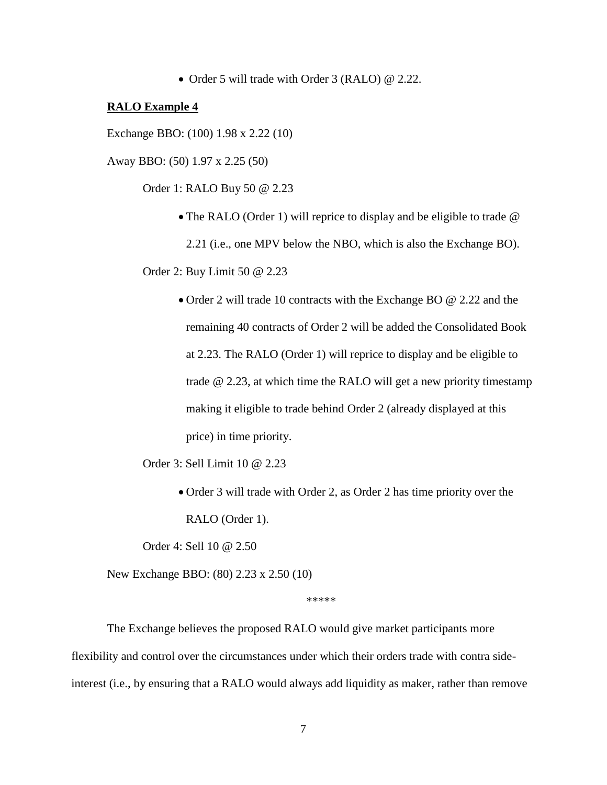• Order 5 will trade with Order 3 (RALO) @ 2.22.

#### **RALO Example 4**

Exchange BBO: (100) 1.98 x 2.22 (10)

Away BBO: (50) 1.97 x 2.25 (50)

Order 1: RALO Buy 50 @ 2.23

• The RALO (Order 1) will reprice to display and be eligible to trade  $\omega$ 

2.21 (i.e., one MPV below the NBO, which is also the Exchange BO).

Order 2: Buy Limit 50 @ 2.23

 Order 2 will trade 10 contracts with the Exchange BO @ 2.22 and the remaining 40 contracts of Order 2 will be added the Consolidated Book at 2.23. The RALO (Order 1) will reprice to display and be eligible to trade @ 2.23, at which time the RALO will get a new priority timestamp making it eligible to trade behind Order 2 (already displayed at this price) in time priority.

Order 3: Sell Limit 10 @ 2.23

 Order 3 will trade with Order 2, as Order 2 has time priority over the RALO (Order 1).

Order 4: Sell 10 @ 2.50

New Exchange BBO: (80) 2.23 x 2.50 (10)

\*\*\*\*\*

The Exchange believes the proposed RALO would give market participants more flexibility and control over the circumstances under which their orders trade with contra sideinterest (i.e., by ensuring that a RALO would always add liquidity as maker, rather than remove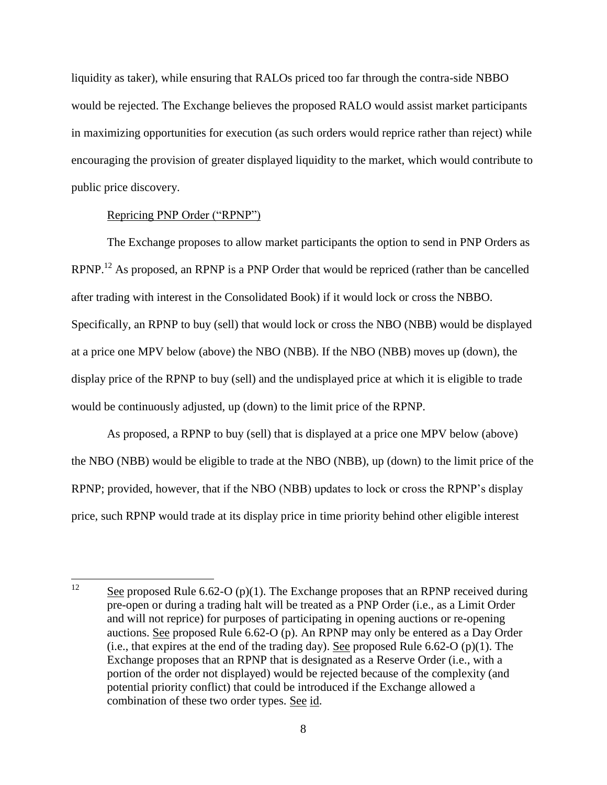liquidity as taker), while ensuring that RALOs priced too far through the contra-side NBBO would be rejected. The Exchange believes the proposed RALO would assist market participants in maximizing opportunities for execution (as such orders would reprice rather than reject) while encouraging the provision of greater displayed liquidity to the market, which would contribute to public price discovery.

### Repricing PNP Order ("RPNP")

The Exchange proposes to allow market participants the option to send in PNP Orders as RPNP.<sup>12</sup> As proposed, an RPNP is a PNP Order that would be repriced (rather than be cancelled after trading with interest in the Consolidated Book) if it would lock or cross the NBBO. Specifically, an RPNP to buy (sell) that would lock or cross the NBO (NBB) would be displayed at a price one MPV below (above) the NBO (NBB). If the NBO (NBB) moves up (down), the display price of the RPNP to buy (sell) and the undisplayed price at which it is eligible to trade would be continuously adjusted, up (down) to the limit price of the RPNP.

As proposed, a RPNP to buy (sell) that is displayed at a price one MPV below (above) the NBO (NBB) would be eligible to trade at the NBO (NBB), up (down) to the limit price of the RPNP; provided, however, that if the NBO (NBB) updates to lock or cross the RPNP's display price, such RPNP would trade at its display price in time priority behind other eligible interest

 $12 \,$ See proposed Rule 6.62-O (p)(1). The Exchange proposes that an RPNP received during pre-open or during a trading halt will be treated as a PNP Order (i.e., as a Limit Order and will not reprice) for purposes of participating in opening auctions or re-opening auctions. See proposed Rule 6.62-O (p). An RPNP may only be entered as a Day Order (i.e., that expires at the end of the trading day). See proposed Rule  $6.62-O$  (p)(1). The Exchange proposes that an RPNP that is designated as a Reserve Order (i.e., with a portion of the order not displayed) would be rejected because of the complexity (and potential priority conflict) that could be introduced if the Exchange allowed a combination of these two order types. See id.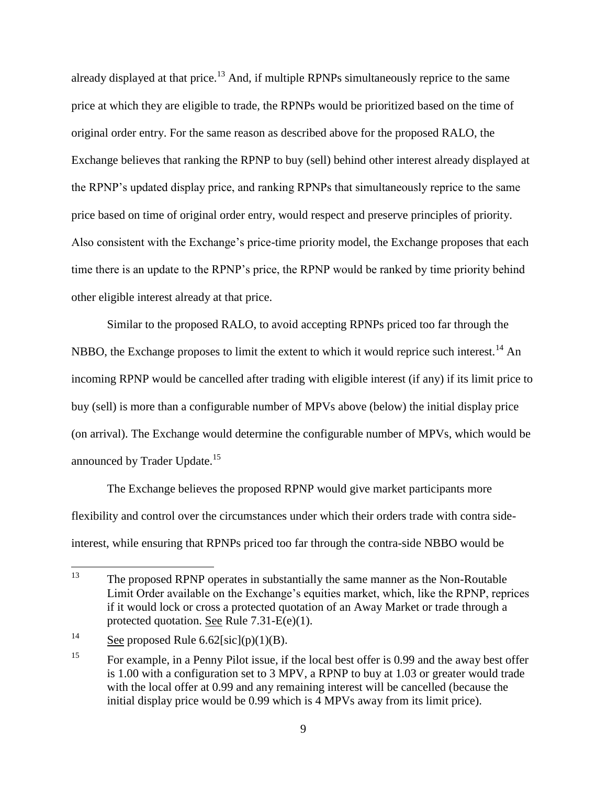already displayed at that price.<sup>13</sup> And, if multiple RPNPs simultaneously reprice to the same price at which they are eligible to trade, the RPNPs would be prioritized based on the time of original order entry. For the same reason as described above for the proposed RALO, the Exchange believes that ranking the RPNP to buy (sell) behind other interest already displayed at the RPNP's updated display price, and ranking RPNPs that simultaneously reprice to the same price based on time of original order entry, would respect and preserve principles of priority. Also consistent with the Exchange's price-time priority model, the Exchange proposes that each time there is an update to the RPNP's price, the RPNP would be ranked by time priority behind other eligible interest already at that price.

Similar to the proposed RALO, to avoid accepting RPNPs priced too far through the NBBO, the Exchange proposes to limit the extent to which it would reprice such interest.<sup>14</sup> An incoming RPNP would be cancelled after trading with eligible interest (if any) if its limit price to buy (sell) is more than a configurable number of MPVs above (below) the initial display price (on arrival). The Exchange would determine the configurable number of MPVs, which would be announced by Trader Update.<sup>15</sup>

The Exchange believes the proposed RPNP would give market participants more flexibility and control over the circumstances under which their orders trade with contra sideinterest, while ensuring that RPNPs priced too far through the contra-side NBBO would be

<sup>13</sup> The proposed RPNP operates in substantially the same manner as the Non-Routable Limit Order available on the Exchange's equities market, which, like the RPNP, reprices if it would lock or cross a protected quotation of an Away Market or trade through a protected quotation. See Rule 7.31-E(e)(1).

<sup>&</sup>lt;sup>14</sup> See proposed Rule 6.62[sic](p)(1)(B).

<sup>&</sup>lt;sup>15</sup> For example, in a Penny Pilot issue, if the local best offer is 0.99 and the away best offer is 1.00 with a configuration set to 3 MPV, a RPNP to buy at 1.03 or greater would trade with the local offer at 0.99 and any remaining interest will be cancelled (because the initial display price would be 0.99 which is 4 MPVs away from its limit price).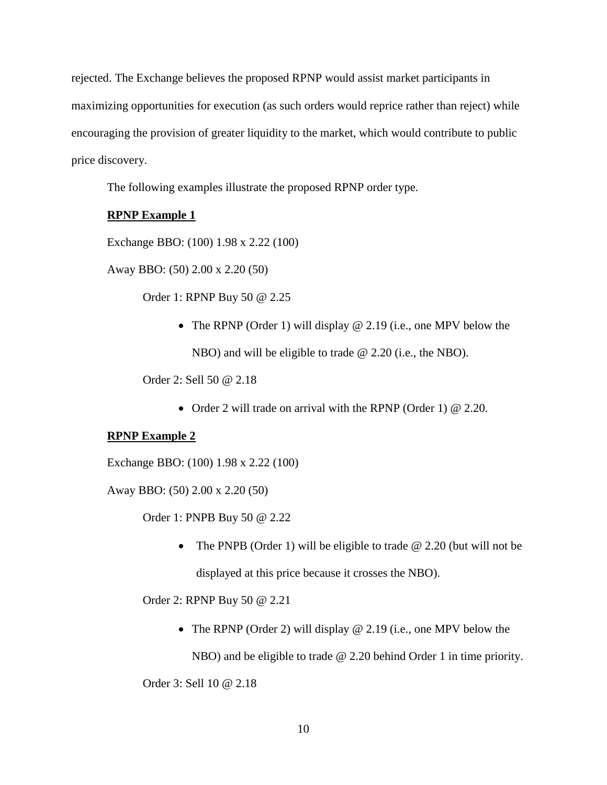rejected. The Exchange believes the proposed RPNP would assist market participants in maximizing opportunities for execution (as such orders would reprice rather than reject) while encouraging the provision of greater liquidity to the market, which would contribute to public price discovery.

The following examples illustrate the proposed RPNP order type.

## **RPNP Example 1**

Exchange BBO: (100) 1.98 x 2.22 (100)

Away BBO: (50) 2.00 x 2.20 (50)

Order 1: RPNP Buy 50 @ 2.25

• The RPNP (Order 1) will display @ 2.19 (i.e., one MPV below the NBO) and will be eligible to trade @ 2.20 (i.e., the NBO).

Order 2: Sell 50 @ 2.18

• Order 2 will trade on arrival with the RPNP (Order 1)  $@ 2.20$ .

## **RPNP Example 2**

Exchange BBO: (100) 1.98 x 2.22 (100)

Away BBO: (50) 2.00 x 2.20 (50)

Order 1: PNPB Buy 50 @ 2.22

• The PNPB (Order 1) will be eligible to trade  $\omega$  2.20 (but will not be displayed at this price because it crosses the NBO).

Order 2: RPNP Buy 50 @ 2.21

• The RPNP (Order 2) will display @ 2.19 (i.e., one MPV below the

NBO) and be eligible to trade @ 2.20 behind Order 1 in time priority.

Order 3: Sell 10 @ 2.18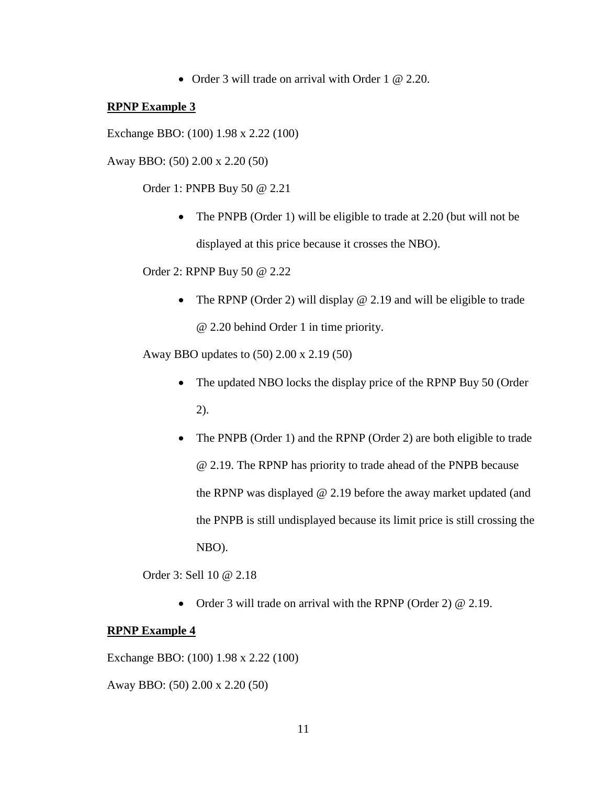• Order 3 will trade on arrival with Order 1 @ 2.20.

#### **RPNP Example 3**

Exchange BBO: (100) 1.98 x 2.22 (100)

Away BBO: (50) 2.00 x 2.20 (50)

Order 1: PNPB Buy 50 @ 2.21

• The PNPB (Order 1) will be eligible to trade at 2.20 (but will not be displayed at this price because it crosses the NBO).

Order 2: RPNP Buy 50 @ 2.22

• The RPNP (Order 2) will display  $@$  2.19 and will be eligible to trade @ 2.20 behind Order 1 in time priority.

Away BBO updates to (50) 2.00 x 2.19 (50)

- The updated NBO locks the display price of the RPNP Buy 50 (Order 2).
- The PNPB (Order 1) and the RPNP (Order 2) are both eligible to trade @ 2.19. The RPNP has priority to trade ahead of the PNPB because the RPNP was displayed @ 2.19 before the away market updated (and the PNPB is still undisplayed because its limit price is still crossing the NBO).

Order 3: Sell 10 @ 2.18

• Order 3 will trade on arrival with the RPNP (Order 2)  $\omega$  2.19.

#### **RPNP Example 4**

Exchange BBO: (100) 1.98 x 2.22 (100)

Away BBO: (50) 2.00 x 2.20 (50)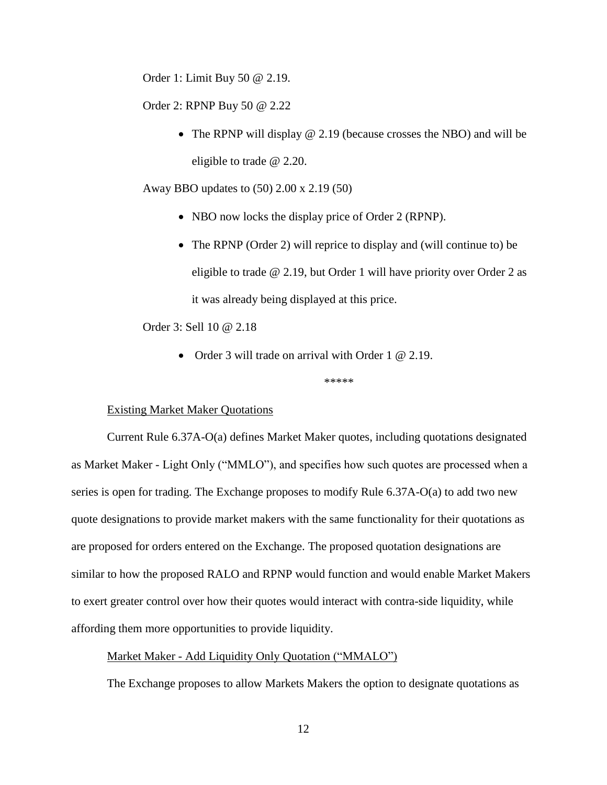Order 1: Limit Buy 50 @ 2.19.

Order 2: RPNP Buy 50 @ 2.22

• The RPNP will display @ 2.19 (because crosses the NBO) and will be eligible to trade @ 2.20.

Away BBO updates to (50) 2.00 x 2.19 (50)

- NBO now locks the display price of Order 2 (RPNP).
- The RPNP (Order 2) will reprice to display and (will continue to) be eligible to trade @ 2.19, but Order 1 will have priority over Order 2 as it was already being displayed at this price.

Order 3: Sell 10 @ 2.18

• Order 3 will trade on arrival with Order 1 @ 2.19.

\*\*\*\*\*

### Existing Market Maker Quotations

Current Rule 6.37A-O(a) defines Market Maker quotes, including quotations designated as Market Maker - Light Only ("MMLO"), and specifies how such quotes are processed when a series is open for trading. The Exchange proposes to modify Rule 6.37A-O(a) to add two new quote designations to provide market makers with the same functionality for their quotations as are proposed for orders entered on the Exchange. The proposed quotation designations are similar to how the proposed RALO and RPNP would function and would enable Market Makers to exert greater control over how their quotes would interact with contra-side liquidity, while affording them more opportunities to provide liquidity.

### Market Maker - Add Liquidity Only Quotation ("MMALO")

The Exchange proposes to allow Markets Makers the option to designate quotations as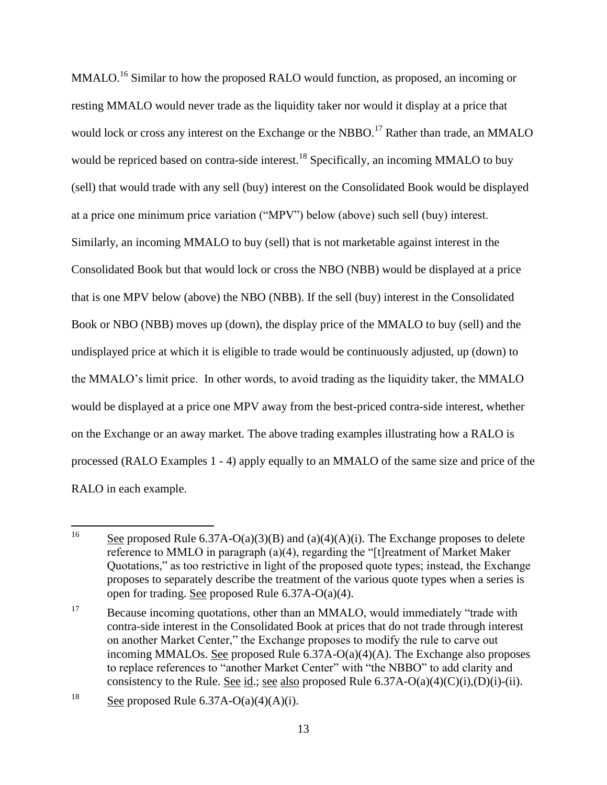MMALO.<sup>16</sup> Similar to how the proposed RALO would function, as proposed, an incoming or resting MMALO would never trade as the liquidity taker nor would it display at a price that would lock or cross any interest on the Exchange or the NBBO.<sup>17</sup> Rather than trade, an MMALO would be repriced based on contra-side interest.<sup>18</sup> Specifically, an incoming MMALO to buy (sell) that would trade with any sell (buy) interest on the Consolidated Book would be displayed at a price one minimum price variation ("MPV") below (above) such sell (buy) interest. Similarly, an incoming MMALO to buy (sell) that is not marketable against interest in the Consolidated Book but that would lock or cross the NBO (NBB) would be displayed at a price that is one MPV below (above) the NBO (NBB). If the sell (buy) interest in the Consolidated Book or NBO (NBB) moves up (down), the display price of the MMALO to buy (sell) and the undisplayed price at which it is eligible to trade would be continuously adjusted, up (down) to the MMALO's limit price. In other words, to avoid trading as the liquidity taker, the MMALO would be displayed at a price one MPV away from the best-priced contra-side interest, whether on the Exchange or an away market. The above trading examples illustrating how a RALO is processed (RALO Examples 1 - 4) apply equally to an MMALO of the same size and price of the RALO in each example.

<sup>16</sup> See proposed Rule  $6.37A-O(a)(3)(B)$  and  $(a)(4)(A)(i)$ . The Exchange proposes to delete reference to MMLO in paragraph (a)(4), regarding the "[t] reatment of Market Maker Quotations," as too restrictive in light of the proposed quote types; instead, the Exchange proposes to separately describe the treatment of the various quote types when a series is open for trading. See proposed Rule 6.37A-O(a)(4).

<sup>&</sup>lt;sup>17</sup> Because incoming quotations, other than an MMALO, would immediately "trade with contra-side interest in the Consolidated Book at prices that do not trade through interest on another Market Center," the Exchange proposes to modify the rule to carve out incoming MMALOs. See proposed Rule 6.37A-O(a)(4)(A). The Exchange also proposes to replace references to "another Market Center" with "the NBBO" to add clarity and consistency to the Rule. See id.; see also proposed Rule  $6.37A-O(a)(4)(C)(i),(D)(i)-(ii)$ .

<sup>&</sup>lt;sup>18</sup> See proposed Rule  $6.37A-O(a)(4)(A)(i)$ .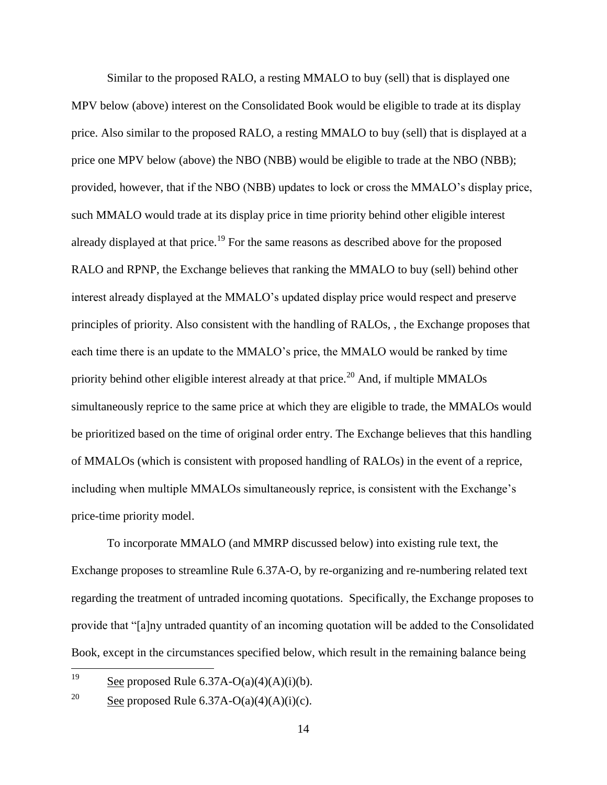Similar to the proposed RALO, a resting MMALO to buy (sell) that is displayed one MPV below (above) interest on the Consolidated Book would be eligible to trade at its display price. Also similar to the proposed RALO, a resting MMALO to buy (sell) that is displayed at a price one MPV below (above) the NBO (NBB) would be eligible to trade at the NBO (NBB); provided, however, that if the NBO (NBB) updates to lock or cross the MMALO's display price, such MMALO would trade at its display price in time priority behind other eligible interest already displayed at that price.<sup>19</sup> For the same reasons as described above for the proposed RALO and RPNP, the Exchange believes that ranking the MMALO to buy (sell) behind other interest already displayed at the MMALO's updated display price would respect and preserve principles of priority. Also consistent with the handling of RALOs, , the Exchange proposes that each time there is an update to the MMALO's price, the MMALO would be ranked by time priority behind other eligible interest already at that price.<sup>20</sup> And, if multiple MMALOs simultaneously reprice to the same price at which they are eligible to trade, the MMALOs would be prioritized based on the time of original order entry. The Exchange believes that this handling of MMALOs (which is consistent with proposed handling of RALOs) in the event of a reprice, including when multiple MMALOs simultaneously reprice, is consistent with the Exchange's price-time priority model.

To incorporate MMALO (and MMRP discussed below) into existing rule text, the Exchange proposes to streamline Rule 6.37A-O, by re-organizing and re-numbering related text regarding the treatment of untraded incoming quotations. Specifically, the Exchange proposes to provide that "[a]ny untraded quantity of an incoming quotation will be added to the Consolidated Book, except in the circumstances specified below, which result in the remaining balance being

19 See proposed Rule  $6.37A-O(a)(4)(A)(i)(b)$ .

<sup>&</sup>lt;sup>20</sup> See proposed Rule 6.37A-O(a)(4)(A)(i)(c).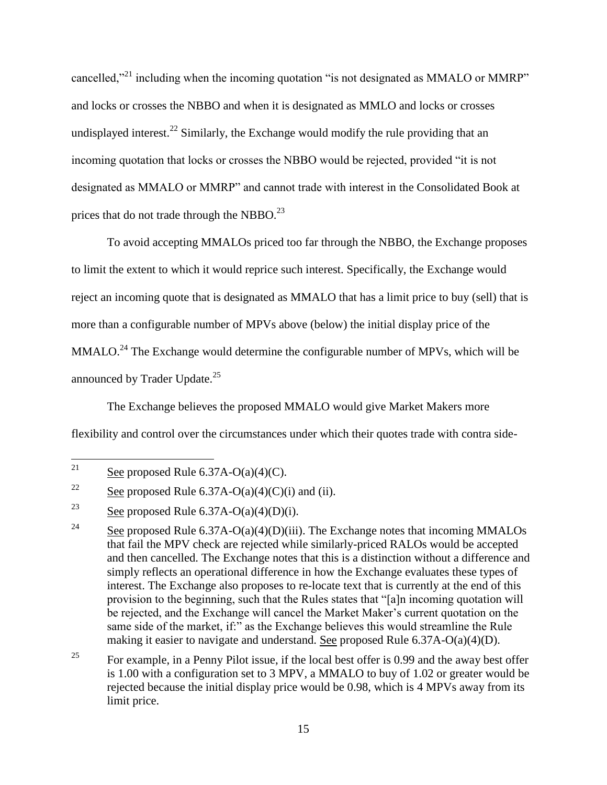cancelled,"<sup>21</sup> including when the incoming quotation "is not designated as MMALO or MMRP" and locks or crosses the NBBO and when it is designated as MMLO and locks or crosses undisplayed interest.<sup>22</sup> Similarly, the Exchange would modify the rule providing that an incoming quotation that locks or crosses the NBBO would be rejected, provided "it is not designated as MMALO or MMRP" and cannot trade with interest in the Consolidated Book at prices that do not trade through the NBBO. $^{23}$ 

To avoid accepting MMALOs priced too far through the NBBO, the Exchange proposes to limit the extent to which it would reprice such interest. Specifically, the Exchange would reject an incoming quote that is designated as MMALO that has a limit price to buy (sell) that is more than a configurable number of MPVs above (below) the initial display price of the  $MMALO.<sup>24</sup>$  The Exchange would determine the configurable number of MPVs, which will be announced by Trader Update. $25$ 

The Exchange believes the proposed MMALO would give Market Makers more flexibility and control over the circumstances under which their quotes trade with contra side-

<sup>21</sup> See proposed Rule  $6.37A-O(a)(4)(C)$ .

<sup>&</sup>lt;sup>22</sup> See proposed Rule 6.37A-O(a)(4)(C)(i) and (ii).

<sup>&</sup>lt;sup>23</sup> See proposed Rule 6.37A-O(a)(4)(D)(i).

<sup>&</sup>lt;sup>24</sup> See proposed Rule 6.37A-O(a)(4)(D)(iii). The Exchange notes that incoming MMALOs that fail the MPV check are rejected while similarly-priced RALOs would be accepted and then cancelled. The Exchange notes that this is a distinction without a difference and simply reflects an operational difference in how the Exchange evaluates these types of interest. The Exchange also proposes to re-locate text that is currently at the end of this provision to the beginning, such that the Rules states that "[a]n incoming quotation will be rejected, and the Exchange will cancel the Market Maker's current quotation on the same side of the market, if:" as the Exchange believes this would streamline the Rule making it easier to navigate and understand. See proposed Rule 6.37A-O(a)(4)(D).

<sup>&</sup>lt;sup>25</sup> For example, in a Penny Pilot issue, if the local best offer is 0.99 and the away best offer is 1.00 with a configuration set to 3 MPV, a MMALO to buy of 1.02 or greater would be rejected because the initial display price would be 0.98, which is 4 MPVs away from its limit price.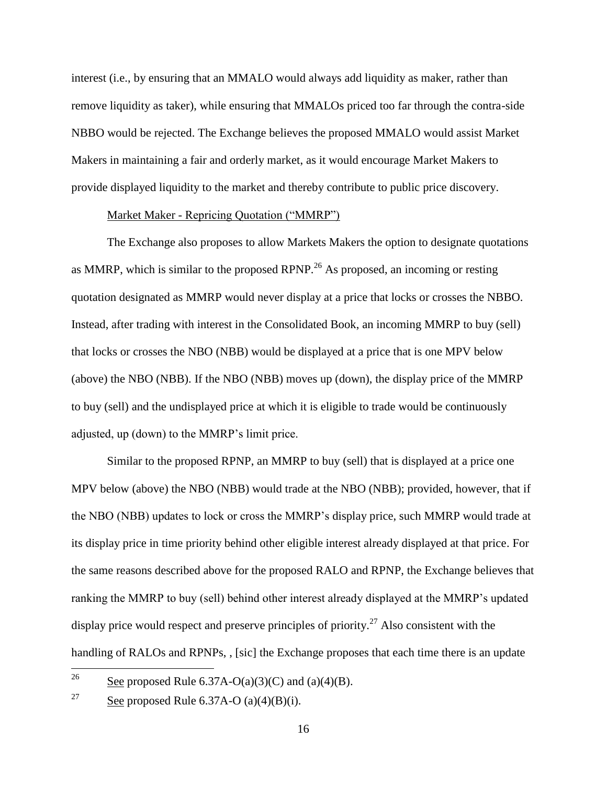interest (i.e., by ensuring that an MMALO would always add liquidity as maker, rather than remove liquidity as taker), while ensuring that MMALOs priced too far through the contra-side NBBO would be rejected. The Exchange believes the proposed MMALO would assist Market Makers in maintaining a fair and orderly market, as it would encourage Market Makers to provide displayed liquidity to the market and thereby contribute to public price discovery.

### Market Maker - Repricing Quotation ("MMRP")

The Exchange also proposes to allow Markets Makers the option to designate quotations as MMRP, which is similar to the proposed RPNP.<sup>26</sup> As proposed, an incoming or resting quotation designated as MMRP would never display at a price that locks or crosses the NBBO. Instead, after trading with interest in the Consolidated Book, an incoming MMRP to buy (sell) that locks or crosses the NBO (NBB) would be displayed at a price that is one MPV below (above) the NBO (NBB). If the NBO (NBB) moves up (down), the display price of the MMRP to buy (sell) and the undisplayed price at which it is eligible to trade would be continuously adjusted, up (down) to the MMRP's limit price.

Similar to the proposed RPNP, an MMRP to buy (sell) that is displayed at a price one MPV below (above) the NBO (NBB) would trade at the NBO (NBB); provided, however, that if the NBO (NBB) updates to lock or cross the MMRP's display price, such MMRP would trade at its display price in time priority behind other eligible interest already displayed at that price. For the same reasons described above for the proposed RALO and RPNP, the Exchange believes that ranking the MMRP to buy (sell) behind other interest already displayed at the MMRP's updated display price would respect and preserve principles of priority.<sup>27</sup> Also consistent with the handling of RALOs and RPNPs, , [sic] the Exchange proposes that each time there is an update

<sup>26</sup> See proposed Rule  $6.37A-O(a)(3)(C)$  and  $(a)(4)(B)$ .

<sup>&</sup>lt;sup>27</sup> See proposed Rule 6.37A-O (a)(4)(B)(i).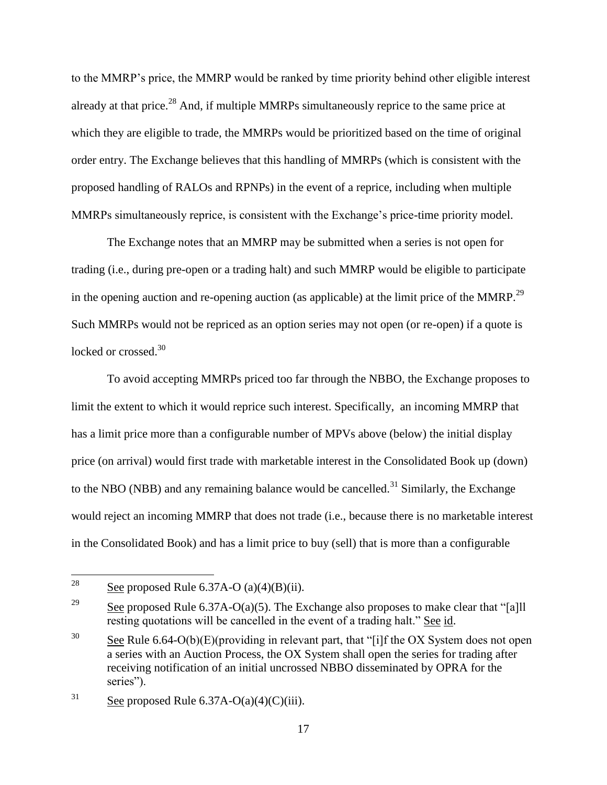to the MMRP's price, the MMRP would be ranked by time priority behind other eligible interest already at that price.<sup>28</sup> And, if multiple MMRPs simultaneously reprice to the same price at which they are eligible to trade, the MMRPs would be prioritized based on the time of original order entry. The Exchange believes that this handling of MMRPs (which is consistent with the proposed handling of RALOs and RPNPs) in the event of a reprice, including when multiple MMRPs simultaneously reprice, is consistent with the Exchange's price-time priority model.

The Exchange notes that an MMRP may be submitted when a series is not open for trading (i.e., during pre-open or a trading halt) and such MMRP would be eligible to participate in the opening auction and re-opening auction (as applicable) at the limit price of the MMRP.<sup>29</sup> Such MMRPs would not be repriced as an option series may not open (or re-open) if a quote is locked or crossed.<sup>30</sup>

To avoid accepting MMRPs priced too far through the NBBO, the Exchange proposes to limit the extent to which it would reprice such interest. Specifically, an incoming MMRP that has a limit price more than a configurable number of MPVs above (below) the initial display price (on arrival) would first trade with marketable interest in the Consolidated Book up (down) to the NBO (NBB) and any remaining balance would be cancelled.<sup>31</sup> Similarly, the Exchange would reject an incoming MMRP that does not trade (i.e., because there is no marketable interest in the Consolidated Book) and has a limit price to buy (sell) that is more than a configurable

<sup>28</sup> See proposed Rule  $6.37A-O (a)(4)(B)(ii)$ .

<sup>&</sup>lt;sup>29</sup> See proposed Rule 6.37A-O(a)(5). The Exchange also proposes to make clear that "[a]ll resting quotations will be cancelled in the event of a trading halt." See id.

<sup>&</sup>lt;sup>30</sup> See Rule 6.64-O(b)(E)(providing in relevant part, that "[i]f the OX System does not open a series with an Auction Process, the OX System shall open the series for trading after receiving notification of an initial uncrossed NBBO disseminated by OPRA for the series").

<sup>&</sup>lt;sup>31</sup> See proposed Rule  $6.37A-O(a)(4)(C)(iii)$ .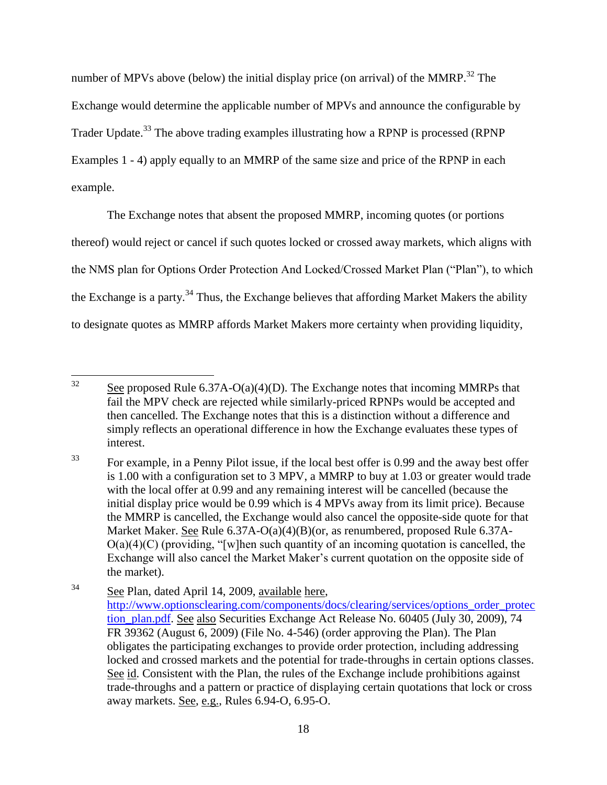number of MPVs above (below) the initial display price (on arrival) of the MMRP.<sup>32</sup> The Exchange would determine the applicable number of MPVs and announce the configurable by Trader Update.<sup>33</sup> The above trading examples illustrating how a RPNP is processed (RPNP) Examples 1 - 4) apply equally to an MMRP of the same size and price of the RPNP in each example.

The Exchange notes that absent the proposed MMRP, incoming quotes (or portions thereof) would reject or cancel if such quotes locked or crossed away markets, which aligns with the NMS plan for Options Order Protection And Locked/Crossed Market Plan ("Plan"), to which the Exchange is a party.<sup>34</sup> Thus, the Exchange believes that affording Market Makers the ability to designate quotes as MMRP affords Market Makers more certainty when providing liquidity,

 $32$ See proposed Rule  $6.37A-O(a)(4)(D)$ . The Exchange notes that incoming MMRPs that fail the MPV check are rejected while similarly-priced RPNPs would be accepted and then cancelled. The Exchange notes that this is a distinction without a difference and simply reflects an operational difference in how the Exchange evaluates these types of interest.

<sup>&</sup>lt;sup>33</sup> For example, in a Penny Pilot issue, if the local best offer is 0.99 and the away best offer is 1.00 with a configuration set to 3 MPV, a MMRP to buy at 1.03 or greater would trade with the local offer at 0.99 and any remaining interest will be cancelled (because the initial display price would be 0.99 which is 4 MPVs away from its limit price). Because the MMRP is cancelled, the Exchange would also cancel the opposite-side quote for that Market Maker. See Rule 6.37A-O(a)(4)(B)(or, as renumbered, proposed Rule 6.37A- $O(a)(4)(C)$  (providing, "[w]hen such quantity of an incoming quotation is cancelled, the Exchange will also cancel the Market Maker's current quotation on the opposite side of the market).

<sup>34</sup> See Plan, dated April 14, 2009, available here, [http://www.optionsclearing.com/components/docs/clearing/services/options\\_order\\_protec](http://www.optionsclearing.com/components/docs/clearing/services/options_order_protection_plan.pdf) [tion\\_plan.pdf.](http://www.optionsclearing.com/components/docs/clearing/services/options_order_protection_plan.pdf) See also Securities Exchange Act Release No. 60405 (July 30, 2009), 74 FR 39362 (August 6, 2009) (File No. 4-546) (order approving the Plan). The Plan obligates the participating exchanges to provide order protection, including addressing locked and crossed markets and the potential for trade-throughs in certain options classes. See id. Consistent with the Plan, the rules of the Exchange include prohibitions against trade-throughs and a pattern or practice of displaying certain quotations that lock or cross away markets. See, e.g., Rules 6.94-O, 6.95-O.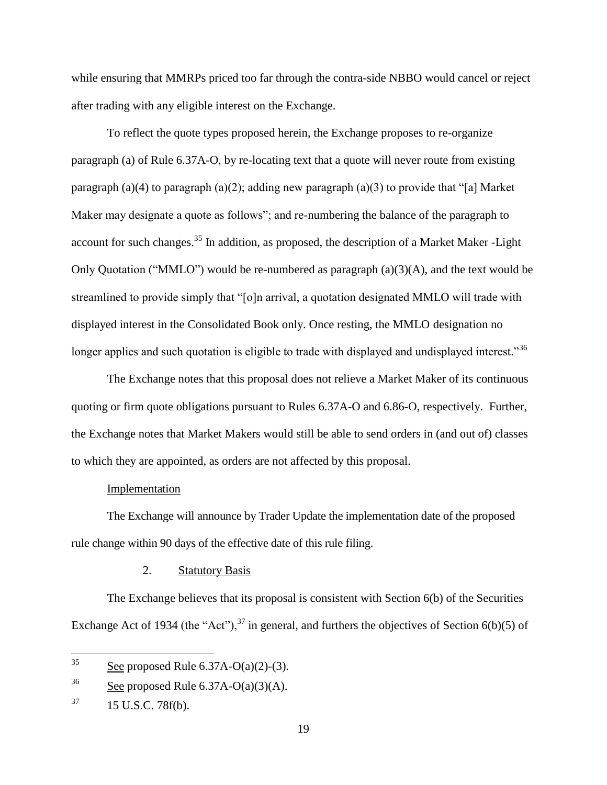while ensuring that MMRPs priced too far through the contra-side NBBO would cancel or reject after trading with any eligible interest on the Exchange.

To reflect the quote types proposed herein, the Exchange proposes to re-organize paragraph (a) of Rule 6.37A-O, by re-locating text that a quote will never route from existing paragraph (a)(4) to paragraph (a)(2); adding new paragraph (a)(3) to provide that "[a] Market Maker may designate a quote as follows"; and re-numbering the balance of the paragraph to account for such changes.<sup>35</sup> In addition, as proposed, the description of a Market Maker -Light Only Quotation ("MMLO") would be re-numbered as paragraph (a)(3)(A), and the text would be streamlined to provide simply that "[o]n arrival, a quotation designated MMLO will trade with displayed interest in the Consolidated Book only. Once resting, the MMLO designation no longer applies and such quotation is eligible to trade with displayed and undisplayed interest."<sup>36</sup>

The Exchange notes that this proposal does not relieve a Market Maker of its continuous quoting or firm quote obligations pursuant to Rules 6.37A-O and 6.86-O, respectively. Further, the Exchange notes that Market Makers would still be able to send orders in (and out of) classes to which they are appointed, as orders are not affected by this proposal.

### Implementation

The Exchange will announce by Trader Update the implementation date of the proposed rule change within 90 days of the effective date of this rule filing.

### 2. Statutory Basis

The Exchange believes that its proposal is consistent with Section 6(b) of the Securities Exchange Act of 1934 (the "Act"),<sup>37</sup> in general, and furthers the objectives of Section 6(b)(5) of

<sup>35</sup> See proposed Rule  $6.37A-O(a)(2)-(3)$ .

<sup>&</sup>lt;sup>36</sup> See proposed Rule  $6.37A-O(a)(3)(A)$ .

 $37$  15 U.S.C. 78f(b).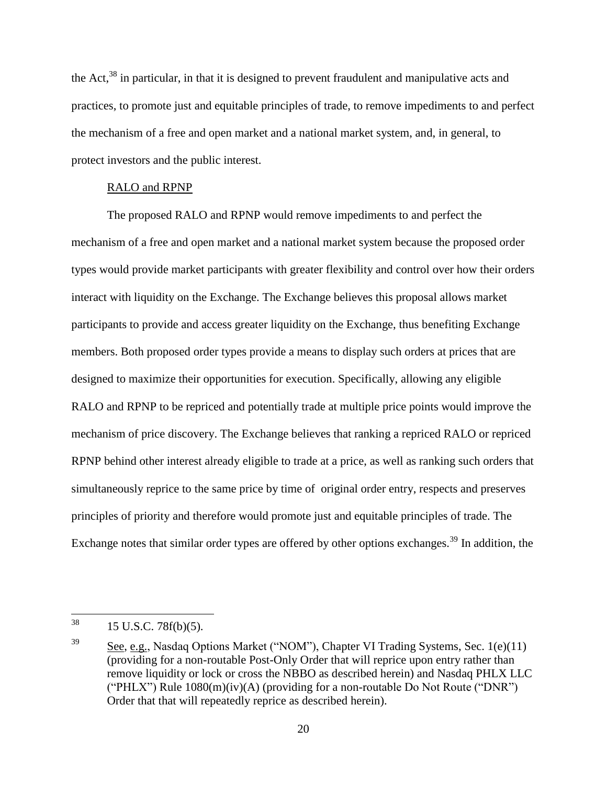the Act,<sup>38</sup> in particular, in that it is designed to prevent fraudulent and manipulative acts and practices, to promote just and equitable principles of trade, to remove impediments to and perfect the mechanism of a free and open market and a national market system, and, in general, to protect investors and the public interest.

### RALO and RPNP

The proposed RALO and RPNP would remove impediments to and perfect the mechanism of a free and open market and a national market system because the proposed order types would provide market participants with greater flexibility and control over how their orders interact with liquidity on the Exchange. The Exchange believes this proposal allows market participants to provide and access greater liquidity on the Exchange, thus benefiting Exchange members. Both proposed order types provide a means to display such orders at prices that are designed to maximize their opportunities for execution. Specifically, allowing any eligible RALO and RPNP to be repriced and potentially trade at multiple price points would improve the mechanism of price discovery. The Exchange believes that ranking a repriced RALO or repriced RPNP behind other interest already eligible to trade at a price, as well as ranking such orders that simultaneously reprice to the same price by time of original order entry, respects and preserves principles of priority and therefore would promote just and equitable principles of trade. The Exchange notes that similar order types are offered by other options exchanges.<sup>39</sup> In addition, the

 $38\,$ 15 U.S.C. 78f(b)(5).

 $39$  See, e.g., Nasdaq Options Market ("NOM"), Chapter VI Trading Systems, Sec. 1(e)(11) (providing for a non-routable Post-Only Order that will reprice upon entry rather than remove liquidity or lock or cross the NBBO as described herein) and Nasdaq PHLX LLC ("PHLX") Rule  $1080(m)(iv)(A)$  (providing for a non-routable Do Not Route ("DNR") Order that that will repeatedly reprice as described herein).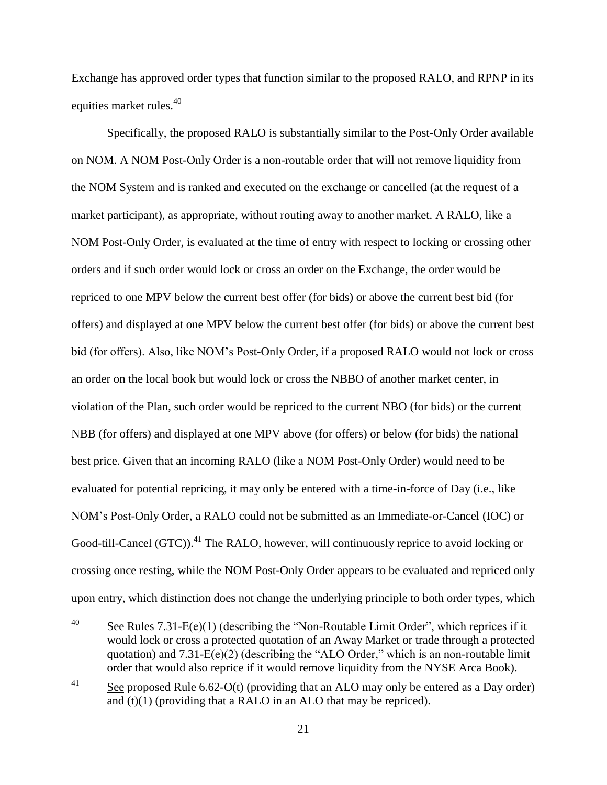Exchange has approved order types that function similar to the proposed RALO, and RPNP in its equities market rules.<sup>40</sup>

Specifically, the proposed RALO is substantially similar to the Post-Only Order available on NOM. A NOM Post-Only Order is a non-routable order that will not remove liquidity from the NOM System and is ranked and executed on the exchange or cancelled (at the request of a market participant), as appropriate, without routing away to another market. A RALO, like a NOM Post-Only Order, is evaluated at the time of entry with respect to locking or crossing other orders and if such order would lock or cross an order on the Exchange, the order would be repriced to one MPV below the current best offer (for bids) or above the current best bid (for offers) and displayed at one MPV below the current best offer (for bids) or above the current best bid (for offers). Also, like NOM's Post-Only Order, if a proposed RALO would not lock or cross an order on the local book but would lock or cross the NBBO of another market center, in violation of the Plan, such order would be repriced to the current NBO (for bids) or the current NBB (for offers) and displayed at one MPV above (for offers) or below (for bids) the national best price. Given that an incoming RALO (like a NOM Post-Only Order) would need to be evaluated for potential repricing, it may only be entered with a time-in-force of Day (i.e., like NOM's Post-Only Order, a RALO could not be submitted as an Immediate-or-Cancel (IOC) or Good-till-Cancel  $(GTC)$ <sup>41</sup>. The RALO, however, will continuously reprice to avoid locking or crossing once resting, while the NOM Post-Only Order appears to be evaluated and repriced only upon entry, which distinction does not change the underlying principle to both order types, which

<sup>40</sup> See Rules  $7.31-E(e)(1)$  (describing the "Non-Routable Limit Order", which reprices if it would lock or cross a protected quotation of an Away Market or trade through a protected quotation) and 7.31-E(e)(2) (describing the "ALO Order," which is an non-routable limit order that would also reprice if it would remove liquidity from the NYSE Arca Book).

<sup>&</sup>lt;sup>41</sup> See proposed Rule 6.62-O(t) (providing that an ALO may only be entered as a Day order) and  $(t)(1)$  (providing that a RALO in an ALO that may be repriced).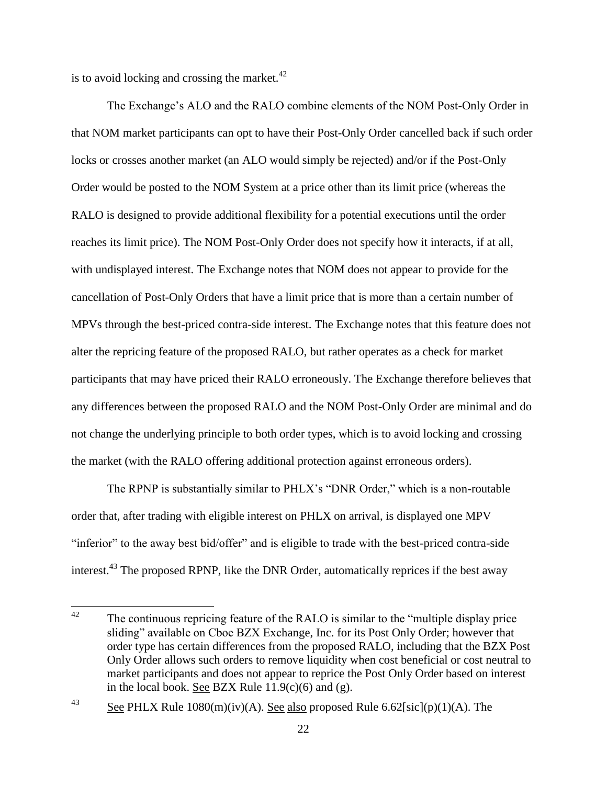is to avoid locking and crossing the market. $42$ 

The Exchange's ALO and the RALO combine elements of the NOM Post-Only Order in that NOM market participants can opt to have their Post-Only Order cancelled back if such order locks or crosses another market (an ALO would simply be rejected) and/or if the Post-Only Order would be posted to the NOM System at a price other than its limit price (whereas the RALO is designed to provide additional flexibility for a potential executions until the order reaches its limit price). The NOM Post-Only Order does not specify how it interacts, if at all, with undisplayed interest. The Exchange notes that NOM does not appear to provide for the cancellation of Post-Only Orders that have a limit price that is more than a certain number of MPVs through the best-priced contra-side interest. The Exchange notes that this feature does not alter the repricing feature of the proposed RALO, but rather operates as a check for market participants that may have priced their RALO erroneously. The Exchange therefore believes that any differences between the proposed RALO and the NOM Post-Only Order are minimal and do not change the underlying principle to both order types, which is to avoid locking and crossing the market (with the RALO offering additional protection against erroneous orders).

The RPNP is substantially similar to PHLX's "DNR Order," which is a non-routable order that, after trading with eligible interest on PHLX on arrival, is displayed one MPV "inferior" to the away best bid/offer" and is eligible to trade with the best-priced contra-side interest.<sup>43</sup> The proposed RPNP, like the DNR Order, automatically reprices if the best away

 $\Delta$ The continuous repricing feature of the RALO is similar to the "multiple display price" sliding" available on Cboe BZX Exchange, Inc. for its Post Only Order; however that order type has certain differences from the proposed RALO, including that the BZX Post Only Order allows such orders to remove liquidity when cost beneficial or cost neutral to market participants and does not appear to reprice the Post Only Order based on interest in the local book. See BZX Rule  $11.9(c)(6)$  and (g).

<sup>&</sup>lt;sup>43</sup> See PHLX Rule 1080(m)(iv)(A). See also proposed Rule 6.62[sic](p)(1)(A). The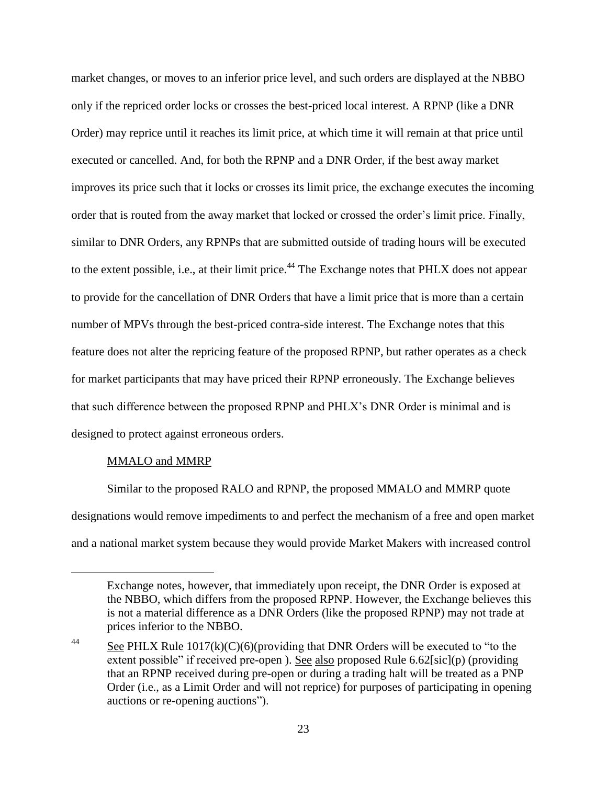market changes, or moves to an inferior price level, and such orders are displayed at the NBBO only if the repriced order locks or crosses the best-priced local interest. A RPNP (like a DNR Order) may reprice until it reaches its limit price, at which time it will remain at that price until executed or cancelled. And, for both the RPNP and a DNR Order, if the best away market improves its price such that it locks or crosses its limit price, the exchange executes the incoming order that is routed from the away market that locked or crossed the order's limit price. Finally, similar to DNR Orders, any RPNPs that are submitted outside of trading hours will be executed to the extent possible, i.e., at their limit price.<sup>44</sup> The Exchange notes that PHLX does not appear to provide for the cancellation of DNR Orders that have a limit price that is more than a certain number of MPVs through the best-priced contra-side interest. The Exchange notes that this feature does not alter the repricing feature of the proposed RPNP, but rather operates as a check for market participants that may have priced their RPNP erroneously. The Exchange believes that such difference between the proposed RPNP and PHLX's DNR Order is minimal and is designed to protect against erroneous orders.

### MMALO and MMRP

 $\overline{a}$ 

Similar to the proposed RALO and RPNP, the proposed MMALO and MMRP quote designations would remove impediments to and perfect the mechanism of a free and open market and a national market system because they would provide Market Makers with increased control

Exchange notes, however, that immediately upon receipt, the DNR Order is exposed at the NBBO, which differs from the proposed RPNP. However, the Exchange believes this is not a material difference as a DNR Orders (like the proposed RPNP) may not trade at prices inferior to the NBBO.

 $\frac{44}{\text{20}}$  See PHLX Rule 1017(k)(C)(6)(providing that DNR Orders will be executed to "to the extent possible" if received pre-open ). See also proposed Rule 6.62[sic](p) (providing that an RPNP received during pre-open or during a trading halt will be treated as a PNP Order (i.e., as a Limit Order and will not reprice) for purposes of participating in opening auctions or re-opening auctions").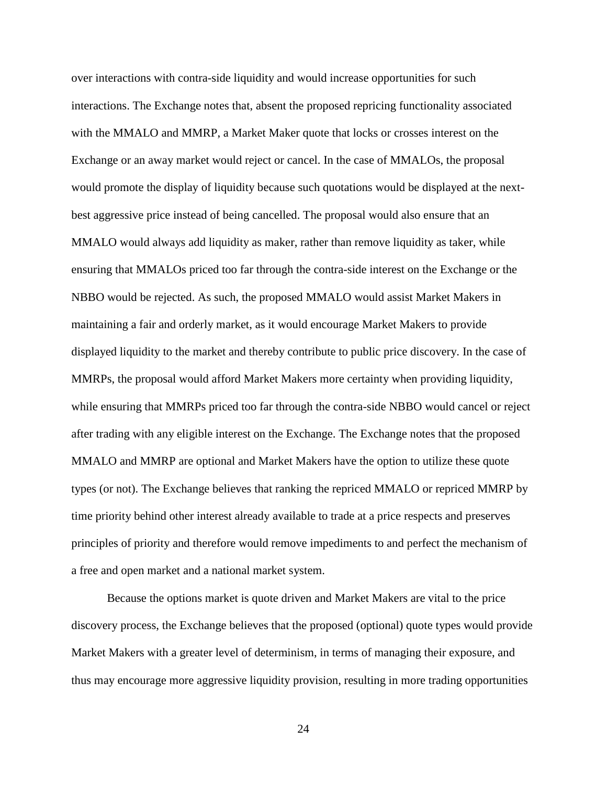over interactions with contra-side liquidity and would increase opportunities for such interactions. The Exchange notes that, absent the proposed repricing functionality associated with the MMALO and MMRP, a Market Maker quote that locks or crosses interest on the Exchange or an away market would reject or cancel. In the case of MMALOs, the proposal would promote the display of liquidity because such quotations would be displayed at the nextbest aggressive price instead of being cancelled. The proposal would also ensure that an MMALO would always add liquidity as maker, rather than remove liquidity as taker, while ensuring that MMALOs priced too far through the contra-side interest on the Exchange or the NBBO would be rejected. As such, the proposed MMALO would assist Market Makers in maintaining a fair and orderly market, as it would encourage Market Makers to provide displayed liquidity to the market and thereby contribute to public price discovery. In the case of MMRPs, the proposal would afford Market Makers more certainty when providing liquidity, while ensuring that MMRPs priced too far through the contra-side NBBO would cancel or reject after trading with any eligible interest on the Exchange. The Exchange notes that the proposed MMALO and MMRP are optional and Market Makers have the option to utilize these quote types (or not). The Exchange believes that ranking the repriced MMALO or repriced MMRP by time priority behind other interest already available to trade at a price respects and preserves principles of priority and therefore would remove impediments to and perfect the mechanism of a free and open market and a national market system.

Because the options market is quote driven and Market Makers are vital to the price discovery process, the Exchange believes that the proposed (optional) quote types would provide Market Makers with a greater level of determinism, in terms of managing their exposure, and thus may encourage more aggressive liquidity provision, resulting in more trading opportunities

24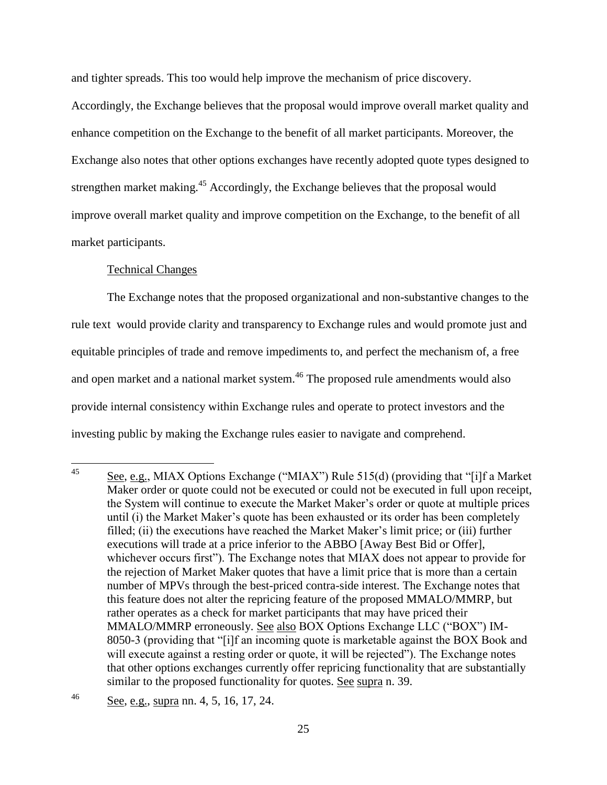and tighter spreads. This too would help improve the mechanism of price discovery.

Accordingly, the Exchange believes that the proposal would improve overall market quality and enhance competition on the Exchange to the benefit of all market participants. Moreover, the Exchange also notes that other options exchanges have recently adopted quote types designed to strengthen market making.<sup>45</sup> Accordingly, the Exchange believes that the proposal would improve overall market quality and improve competition on the Exchange, to the benefit of all market participants.

## Technical Changes

The Exchange notes that the proposed organizational and non-substantive changes to the rule text would provide clarity and transparency to Exchange rules and would promote just and equitable principles of trade and remove impediments to, and perfect the mechanism of, a free and open market and a national market system.<sup>46</sup> The proposed rule amendments would also provide internal consistency within Exchange rules and operate to protect investors and the investing public by making the Exchange rules easier to navigate and comprehend.

 $45$ See, e.g., MIAX Options Exchange ("MIAX") Rule 515(d) (providing that "[i]f a Market Maker order or quote could not be executed or could not be executed in full upon receipt, the System will continue to execute the Market Maker's order or quote at multiple prices until (i) the Market Maker's quote has been exhausted or its order has been completely filled; (ii) the executions have reached the Market Maker's limit price; or (iii) further executions will trade at a price inferior to the ABBO [Away Best Bid or Offer], whichever occurs first"). The Exchange notes that MIAX does not appear to provide for the rejection of Market Maker quotes that have a limit price that is more than a certain number of MPVs through the best-priced contra-side interest. The Exchange notes that this feature does not alter the repricing feature of the proposed MMALO/MMRP, but rather operates as a check for market participants that may have priced their MMALO/MMRP erroneously. See also BOX Options Exchange LLC ("BOX") IM-8050-3 (providing that "[i]f an incoming quote is marketable against the BOX Book and will execute against a resting order or quote, it will be rejected"). The Exchange notes that other options exchanges currently offer repricing functionality that are substantially similar to the proposed functionality for quotes. See supra n. 39.

<sup>46</sup> See, e.g., supra nn. 4, 5, 16, 17, 24.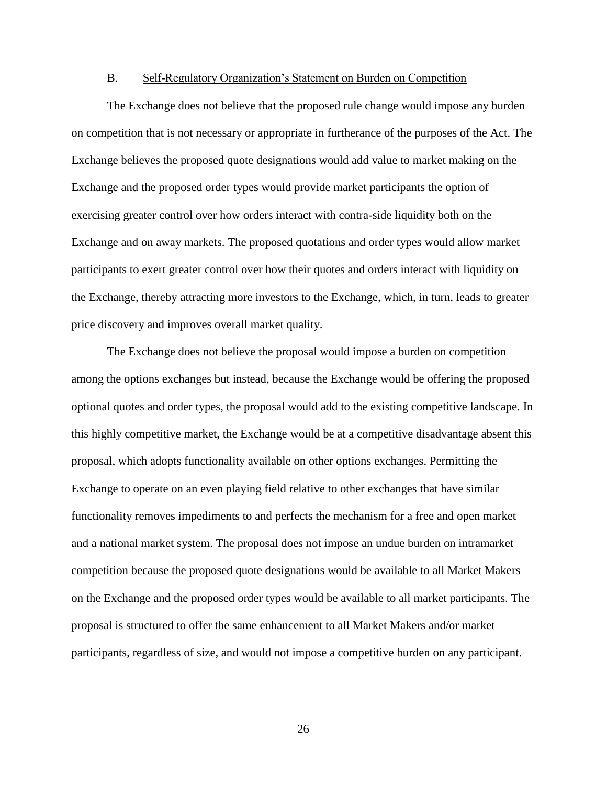#### B. Self-Regulatory Organization's Statement on Burden on Competition

The Exchange does not believe that the proposed rule change would impose any burden on competition that is not necessary or appropriate in furtherance of the purposes of the Act. The Exchange believes the proposed quote designations would add value to market making on the Exchange and the proposed order types would provide market participants the option of exercising greater control over how orders interact with contra-side liquidity both on the Exchange and on away markets. The proposed quotations and order types would allow market participants to exert greater control over how their quotes and orders interact with liquidity on the Exchange, thereby attracting more investors to the Exchange, which, in turn, leads to greater price discovery and improves overall market quality.

The Exchange does not believe the proposal would impose a burden on competition among the options exchanges but instead, because the Exchange would be offering the proposed optional quotes and order types, the proposal would add to the existing competitive landscape. In this highly competitive market, the Exchange would be at a competitive disadvantage absent this proposal, which adopts functionality available on other options exchanges. Permitting the Exchange to operate on an even playing field relative to other exchanges that have similar functionality removes impediments to and perfects the mechanism for a free and open market and a national market system. The proposal does not impose an undue burden on intramarket competition because the proposed quote designations would be available to all Market Makers on the Exchange and the proposed order types would be available to all market participants. The proposal is structured to offer the same enhancement to all Market Makers and/or market participants, regardless of size, and would not impose a competitive burden on any participant.

26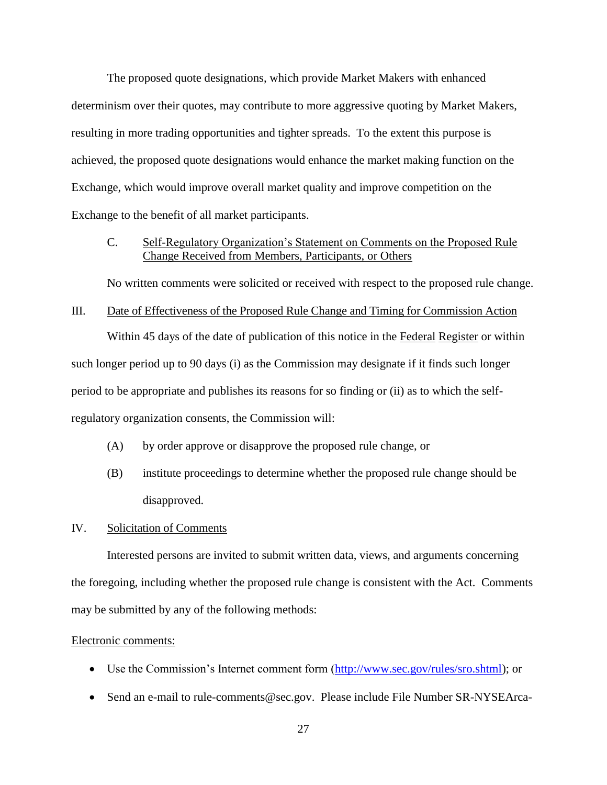The proposed quote designations, which provide Market Makers with enhanced determinism over their quotes, may contribute to more aggressive quoting by Market Makers, resulting in more trading opportunities and tighter spreads. To the extent this purpose is achieved, the proposed quote designations would enhance the market making function on the Exchange, which would improve overall market quality and improve competition on the Exchange to the benefit of all market participants.

## C. Self-Regulatory Organization's Statement on Comments on the Proposed Rule Change Received from Members, Participants, or Others

No written comments were solicited or received with respect to the proposed rule change.

## III. Date of Effectiveness of the Proposed Rule Change and Timing for Commission Action

Within 45 days of the date of publication of this notice in the Federal Register or within such longer period up to 90 days (i) as the Commission may designate if it finds such longer period to be appropriate and publishes its reasons for so finding or (ii) as to which the selfregulatory organization consents, the Commission will:

- (A) by order approve or disapprove the proposed rule change, or
- (B) institute proceedings to determine whether the proposed rule change should be disapproved.

#### IV. Solicitation of Comments

Interested persons are invited to submit written data, views, and arguments concerning the foregoing, including whether the proposed rule change is consistent with the Act. Comments may be submitted by any of the following methods:

#### Electronic comments:

- Use the Commission's Internet comment form (http://www.sec.gov/rules/sro.shtml); or
- Send an e-mail to [rule-comments@sec.gov.](mailto:rule-comments@sec.gov) Please include File Number SR-NYSEArca-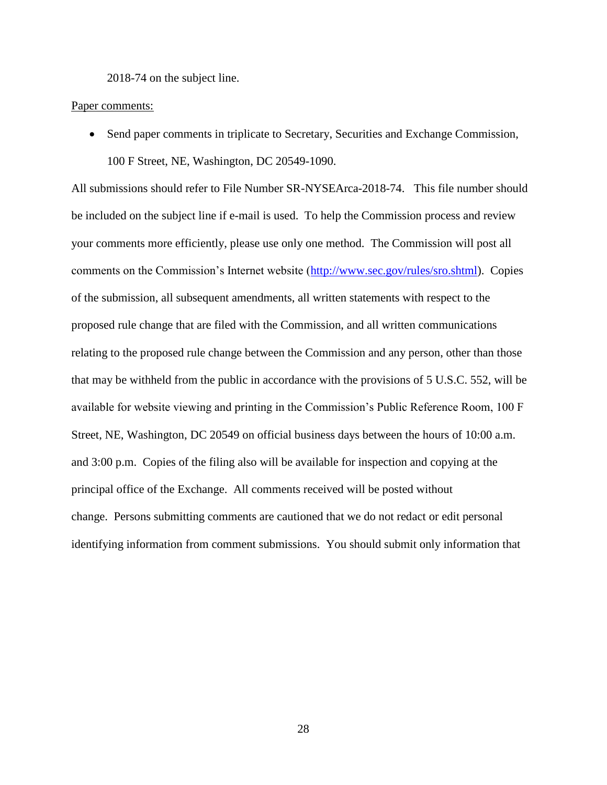2018-74 on the subject line.

#### Paper comments:

• Send paper comments in triplicate to Secretary, Securities and Exchange Commission, 100 F Street, NE, Washington, DC 20549-1090.

All submissions should refer to File Number SR-NYSEArca-2018-74. This file number should be included on the subject line if e-mail is used. To help the Commission process and review your comments more efficiently, please use only one method. The Commission will post all comments on the Commission's Internet website (http://www.sec.gov/rules/sro.shtml). Copies of the submission, all subsequent amendments, all written statements with respect to the proposed rule change that are filed with the Commission, and all written communications relating to the proposed rule change between the Commission and any person, other than those that may be withheld from the public in accordance with the provisions of 5 U.S.C. 552, will be available for website viewing and printing in the Commission's Public Reference Room, 100 F Street, NE, Washington, DC 20549 on official business days between the hours of 10:00 a.m. and 3:00 p.m. Copies of the filing also will be available for inspection and copying at the principal office of the Exchange. All comments received will be posted without change. Persons submitting comments are cautioned that we do not redact or edit personal identifying information from comment submissions. You should submit only information that